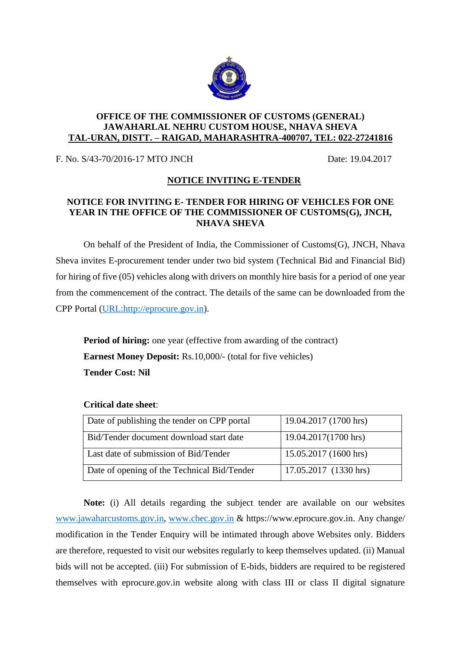

## **OFFICE OF THE COMMISSIONER OF CUSTOMS (GENERAL) JAWAHARLAL NEHRU CUSTOM HOUSE, NHAVA SHEVA TAL-URAN, DISTT. – RAIGAD, MAHARASHTRA-400707, TEL: 022-27241816**

F. No. S/43-70/2016-17 MTO JNCH Date: 19.04.2017

## **NOTICE INVITING E-TENDER**

## **NOTICE FOR INVITING E- TENDER FOR HIRING OF VEHICLES FOR ONE YEAR IN THE OFFICE OF THE COMMISSIONER OF CUSTOMS(G), JNCH, NHAVA SHEVA**

On behalf of the President of India, the Commissioner of Customs(G), JNCH, Nhava Sheva invites E-procurement tender under two bid system (Technical Bid and Financial Bid) for hiring of five (05) vehicles along with drivers on monthly hire basis for a period of one year from the commencement of the contract. The details of the same can be downloaded from the CPP Portal [\(URL:http://eprocure.gov.in\)](http://eprocure.gov.in/).

**Period of hiring:** one year (effective from awarding of the contract) **Earnest Money Deposit:** Rs.10,000/- (total for five vehicles) **Tender Cost: Nil**

| Date of publishing the tender on CPP portal | 19.04.2017 (1700 hrs) |
|---------------------------------------------|-----------------------|
| Bid/Tender document download start date     | 19.04.2017(1700 hrs)  |
| Last date of submission of Bid/Tender       | 15.05.2017 (1600 hrs) |
| Date of opening of the Technical Bid/Tender | 17.05.2017 (1330 hrs) |

## **Critical date sheet**:

**Note:** (i) All details regarding the subject tender are available on our websites [www.jawaharcustoms.gov.in,](http://www.jawaharcustoms.gov.in/) [www.cbec.gov.in](http://www.cbec.gov.in/) & https://www.eprocure.gov.in. Any change/ modification in the Tender Enquiry will be intimated through above Websites only. Bidders are therefore, requested to visit our websites regularly to keep themselves updated. (ii) Manual bids will not be accepted. (iii) For submission of E-bids, bidders are required to be registered themselves with eprocure.gov.in website along with class III or class II digital signature